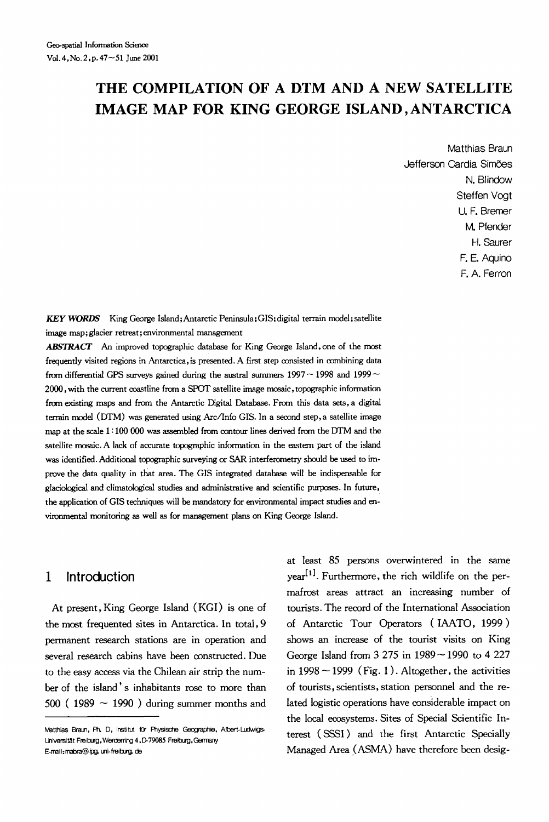# **THE COMPILATION OF A DTM AND A NEW SATELLITE IMAGE MAP FOR KING GEORGE ISLAND, ANTARCTICA**

Matthias Braun Jefferson Cardia Simões N. Blindow Steffen Voat U. F. Bremer M. Pfender H. Saurer F. E. Aquino F. A. Ferron

*KEY WORDS* King George Island;Antarctic Peninsula;GIS;digital terrain model;satellite image map; glacier retreat; environmental management

ABSTRACT An improved topographic database for King George Island, one of the most frequently visited regions in Antarctica, is presented. A first step consisted in combining data from differential GPS surveys gained during the austral summers  $1997 - 1998$  and  $1999 -$ 2000, with the current coastline from a SPOT satellite image mosaic, topographic information from existing maps and from the Antarctic Digital Database. From this data sets, a digital terrain model (DTM) was generated using Arc/Info GIS. In a second step, a satellite image map at the scale 1 : 100 000 was assembled from contour lines derived from the DTM and the satellite mosaic. A lack of accurate topographic information in the eastern part of the island was identified. Additional topographic surveying or SAR interferometry should he used to improve the data quality in that area. The GIS integrated database will he indispensable for glaciological and climatological studies and administrative and scientific purposes. In future, the application of GIS techniques will be mandatory for environmental impact studies and environmental monitoring as well as for management plans on King George Island.

## **1 Introduction**

At present, King George Island (KGI) is one of the most frequented sites in Antarctica. In total, 9 permanent research stations are in operation and several research cabins have been constructed. Due to the easy access via the Chilean air strip the number of the island's inhabitants rose to more than 500 (1989  $\sim$  1990) during summer months and

at least 85 persons overwintered in the same  $year<sup>[1]</sup>$ . Furthermore, the rich wildlife on the permafrost areas attract an increasing number of tourists. The record of the International Association of Antarctic Tour Operators (IAATO, 1999 ) shows an increase of the tourist visits on King George Island from 3 275 in 1989 ~ 1990 to 4 227 in  $1998 \sim 1999$  (Fig. 1). Altogether, the activities of tourists, scientists, station personnel and the related logistic operations have considerable impact on the local ecosystems. Sites of Special Scientific Interest (SSSI) and the first Antarctic Specially Managed Area (ASMA) have therefore been desig-

Matthias Braun, Ph. D, Institut für Physische Geographie, Albert-Ludwigs-Universität Freiburg, Werderring 4, D-79085 Freiburg, Germany E-mail: mabra@ipg, uni-freiburg, de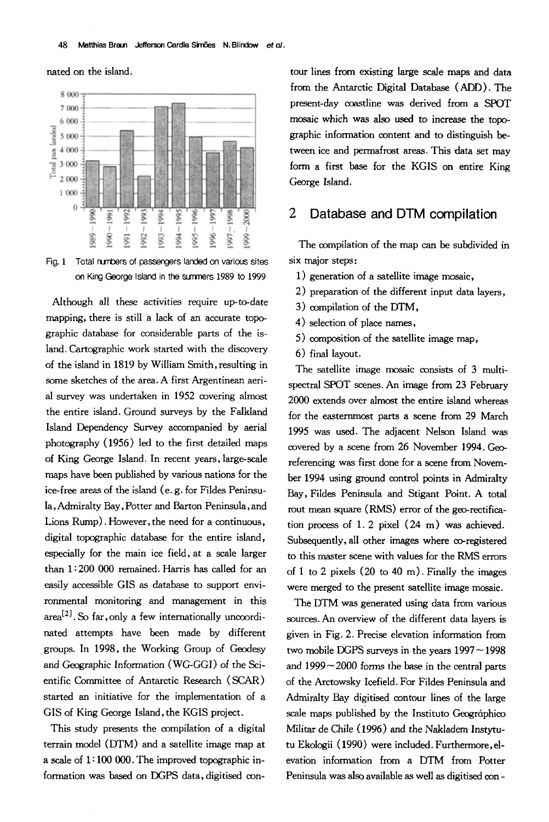hated on the island.



Fig. 1 Total numbers of passengers landed on various sites on King George Island in the swrrners 1989 to 1999

Although all these activities require up-to-date mapping, there is still a lack of an accurate topographic database for considerable parts of the island. Cartographic work started with the discovery of the island in 1819 by William Smith, resulting in some sketches of the area. A first Argentinean aerial survey was undertaken in 1952 covering almost the entire island. Ground surveys by the Falkland Island Dependency Survey accompanied by aerial photography (1956) led to the first detailed maps of King George Island. In recent years, large-scale maps have been published by various nations for the ice-free areas of the island (e. g. for Fildes Peninsula, Admiralty Bay, Potter and Barton Peninsula, and Lions Rump). However, the need for a continuous, digital topographic database for the entire island, especially for the main ice field, at a scale larger than 1 : 200 000 remained. Harris has called for an easily accessible GIS as database to support environmental monitoring and management in this  $area^{[2]}$ . So far, only a few internationally uncoordinated attempts have been made by different groups. In 1998, the Working Group of Geodesy and Geographic Information (WG-GGI) of the Scientific Committee of Antarctic Research (SCAR) started an initiative for the implementation of a GIS of King George Island, the KGIS project.

This study presents the compilation of a digital terrain model (DTM) and a satellite image map at a scale of  $1:100000$ . The improved topographic information was based on DGPS data, digitised con-

tour lines from existing large scale maps and data from the Antarctic Digital Database (ADD). The present-day coastline was derived from a SPOT mosaic which was also used to increase the topographic information content and to distinguish between ice and permafrost areas. This data set may form a first base for the KGIS on entire King George Island.

## **2 Database and DTM compilation**

The compilation of the map can be subdivided in six major steps:

- 1) generation of a satellite image mosaic,
- 2) preparation of the different input data layers,
- 3) compilation of the DTM,
- 4) selection of place names,
- 5) composition of the satellite image map,
- 6) final layout.

The satellite image mosaic consists of 3 multispectral SPOT scenes. An image from 23 February 2000 extends over almost the entire island whereas for the easternmost parts a scene from 29 March 1995 was used. The adjacent Nelson Island was covered by a scene from 26 November 1994. Georeferencing was first done for a scene from November 1994 using ground control points in Admiralty Bay, Fildes Peninsula and Stigant Point. A total rout mean square (RMS) error of the geo-rectification process of 1, 2 pixel (24 m) was achieved. Subsequently, all other images where co-registered to this master scene with values for the RMS errors of 1 to 2 pixels  $(20 \text{ to } 40 \text{ m})$ . Finally the images were merged to the present satellite image mosaic.

The DTM was generated using data from various sources. An overview of the different data layers is given in Fig. 2. Precise elevation information from two mobile DGPS surveys in the years  $1997 - 1998$ and  $1999 - 2000$  forms the base in the central parts of the Arctowsky Icefield. For Fildes Peninsula and Admiralty Bay digitised contour lines of the large scale maps published by the Instituto Geográphico Militar de Chile (1996) and the Nakladem Instytutu Ekologii (1990) were included. Furthermore, elevation information from a DTM from Potter Peninsula was also available as well as digitised con **-**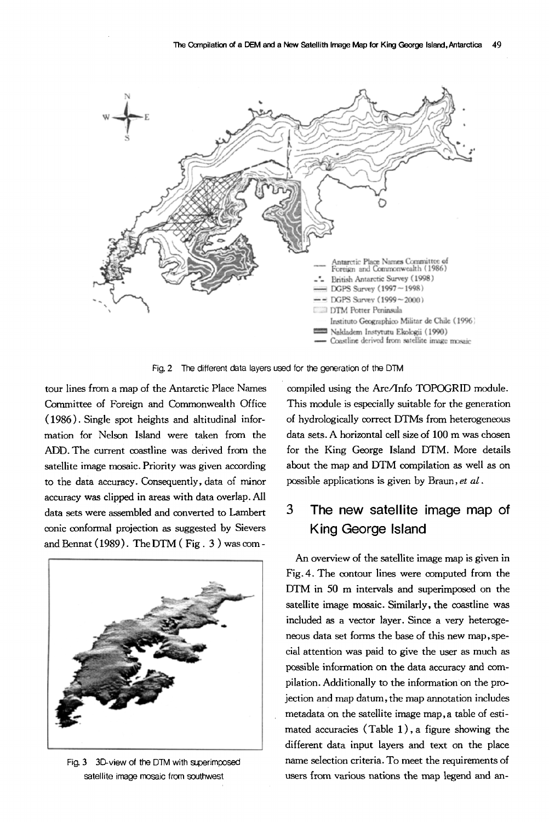

**Fig. 2**  The different data layers used for the generation of the DTM

tour lines from a map of the Antarctic Place Names Committee of Foreign and Commonwealth Office (1986). Single spot heights and altitudinal information for Nelson Island were taken from the ADD. The current coastline was derived from the satellite image mosaic. Priority was given according to the data accuracy. Consequently, data of minor accuracy was clipped in areas with data overlap. All data sets were assembled and converted to Lambert conic conformal projection as suggested by Sievers and Bennat (1989). The DTM ( Fig. 3 ) was com-



Fig. 3 3D-view of the DTM with superimposed satellite image mosaic from southwest

compiled using the Arc/Info TOPOGRID module. This module is especially suitable for the generation of hydrologically correct DTMs from heterogeneous data sets. A horizontal cell size of 100 m was chosen for the King George Island DTM. More details about the map and DTM compilation as well as on possible appIications is given by Braun, *et al.* 

## **3 The new satellite image map of King George Island**

An overview of the satellite image map is given in Fig. 4. The contour lines were computed from the DTM in 50 m intervals and superimposed on the satellite image mosaic. Similarly, the coastline was included as a vector layer. Since a very heterogeneous data set forms the base of this new map, special attention was paid to give the user as much as possible information on the data accuracy and compilation. Additionally to the information on the projection and map datum, the map annotation includes metadata on the satellite image map, a table of estimated accuracies (Table 1), a figure showing the different data input layers and text on the place name selection criteria. To meet the requirements of users from various nations the map legend and an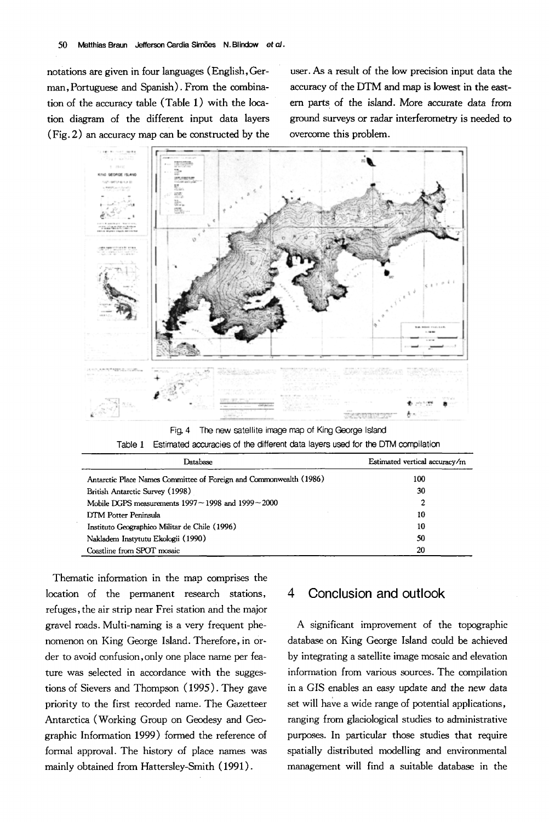notations are given in four languages (English, German,Portuguese and Spanish). From the combination of the accuracy table (Table 1) with the location diagram of the different input data layers (Fig. 2) an accuracy map can be constructed by the

user. As a result of the low precision input data the accuracy of the DTM and map is lowest in the eastern parts of the island. More accurate data from ground surveys or radar interferometry is needed to overcome this problem.



Fig. 4 The new satellite image map of King George Island Table 1 Estimated accuracies of the different data layers used for the DTM compilation

| Database                                                           | Estimated vertical accuracy/m |
|--------------------------------------------------------------------|-------------------------------|
| Antarctic Place Names Committee of Foreign and Commonwealth (1986) | 100                           |
| British Antarctic Survey (1998)                                    | 30                            |
| Mobile DGPS measurements $1997 - 1998$ and $1999 - 2000$           | 2                             |
| DTM Potter Peninsula                                               | 10                            |
| Instituto Geographico Militar de Chile (1996)                      | 10                            |
| Nakladem Instytutu Ekologii (1990)                                 | 50                            |
| Coastline from SPOT mosaic                                         | 20                            |

Thematic information in the map comprises the location of the permanent research stations, refuges, the air strip near Frei station and the major gravel roads. Multi-naming is a very frequent phenomenon on King George Island. Therefore, in Order to avoid confusion,only one place name per feature was selected in accordance with the suggestions of Sievers and Thompson (1995). They gave priority to the first recorded name. The Gazetteer Antarctica (Working Group on Geodesy and Geographic Information 1999) formed the reference of formal approval. The history of place names was mainly obtained from Hattersley-Smith (1991).

### **4 Conclusion and outlook**

A significant improvement of the topographic database on King George Island could be achieved by integrating a satellite image mosaic and elevation information from various sources. The compilation in a GIS enables an easy update and the new data set will have a wide range of potential applications, ranging from glaciological studies to administrative purposes. In particular those studies that require spatially distributed modelling and environmental management will find a suitable database in the